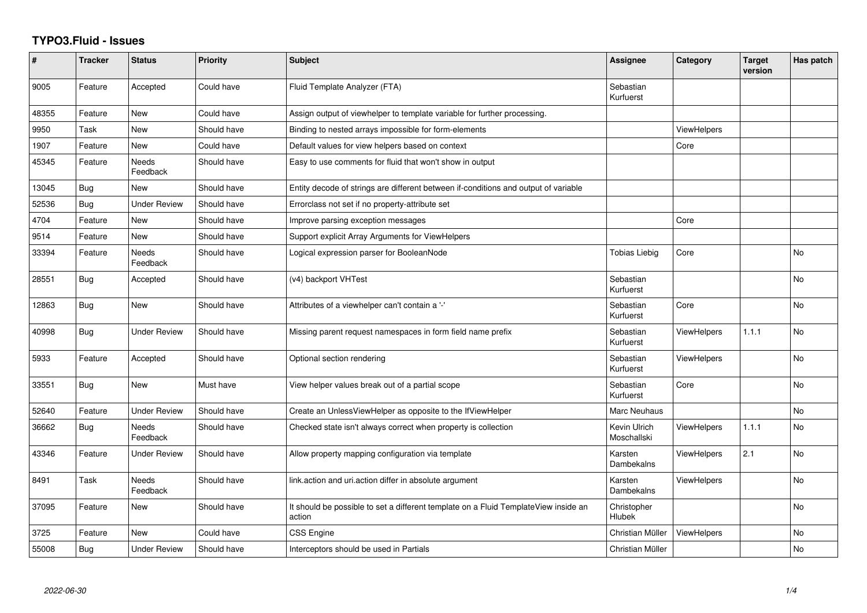## **TYPO3.Fluid - Issues**

| #     | <b>Tracker</b> | <b>Status</b>       | <b>Priority</b> | <b>Subject</b>                                                                                | Assignee                     | Category           | <b>Target</b><br>version | Has patch      |
|-------|----------------|---------------------|-----------------|-----------------------------------------------------------------------------------------------|------------------------------|--------------------|--------------------------|----------------|
| 9005  | Feature        | Accepted            | Could have      | Fluid Template Analyzer (FTA)                                                                 | Sebastian<br>Kurfuerst       |                    |                          |                |
| 48355 | Feature        | <b>New</b>          | Could have      | Assign output of viewhelper to template variable for further processing.                      |                              |                    |                          |                |
| 9950  | Task           | New                 | Should have     | Binding to nested arrays impossible for form-elements                                         |                              | <b>ViewHelpers</b> |                          |                |
| 1907  | Feature        | <b>New</b>          | Could have      | Default values for view helpers based on context                                              |                              | Core               |                          |                |
| 45345 | Feature        | Needs<br>Feedback   | Should have     | Easy to use comments for fluid that won't show in output                                      |                              |                    |                          |                |
| 13045 | Bug            | New                 | Should have     | Entity decode of strings are different between if-conditions and output of variable           |                              |                    |                          |                |
| 52536 | Bug            | Under Review        | Should have     | Errorclass not set if no property-attribute set                                               |                              |                    |                          |                |
| 4704  | Feature        | New                 | Should have     | Improve parsing exception messages                                                            |                              | Core               |                          |                |
| 9514  | Feature        | <b>New</b>          | Should have     | Support explicit Array Arguments for ViewHelpers                                              |                              |                    |                          |                |
| 33394 | Feature        | Needs<br>Feedback   | Should have     | Logical expression parser for BooleanNode                                                     | <b>Tobias Liebig</b>         | Core               |                          | No             |
| 28551 | <b>Bug</b>     | Accepted            | Should have     | (v4) backport VHTest                                                                          | Sebastian<br>Kurfuerst       |                    |                          | <b>No</b>      |
| 12863 | Bug            | <b>New</b>          | Should have     | Attributes of a viewhelper can't contain a '-'                                                | Sebastian<br>Kurfuerst       | Core               |                          | No.            |
| 40998 | Bug            | <b>Under Review</b> | Should have     | Missing parent request namespaces in form field name prefix                                   | Sebastian<br>Kurfuerst       | <b>ViewHelpers</b> | 1.1.1                    | No             |
| 5933  | Feature        | Accepted            | Should have     | Optional section rendering                                                                    | Sebastian<br>Kurfuerst       | <b>ViewHelpers</b> |                          | <b>No</b>      |
| 33551 | Bug            | <b>New</b>          | Must have       | View helper values break out of a partial scope                                               | Sebastian<br>Kurfuerst       | Core               |                          | N <sub>o</sub> |
| 52640 | Feature        | <b>Under Review</b> | Should have     | Create an UnlessViewHelper as opposite to the IfViewHelper                                    | <b>Marc Neuhaus</b>          |                    |                          | No             |
| 36662 | Bug            | Needs<br>Feedback   | Should have     | Checked state isn't always correct when property is collection                                | Kevin Ulrich<br>Moschallski  | <b>ViewHelpers</b> | 1.1.1                    | <b>No</b>      |
| 43346 | Feature        | <b>Under Review</b> | Should have     | Allow property mapping configuration via template                                             | Karsten<br>Dambekalns        | <b>ViewHelpers</b> | 2.1                      | <b>No</b>      |
| 8491  | Task           | Needs<br>Feedback   | Should have     | link.action and uri.action differ in absolute argument                                        | Karsten<br>Dambekalns        | <b>ViewHelpers</b> |                          | No             |
| 37095 | Feature        | New                 | Should have     | It should be possible to set a different template on a Fluid TemplateView inside an<br>action | Christopher<br><b>Hlubek</b> |                    |                          | <b>No</b>      |
| 3725  | Feature        | New                 | Could have      | <b>CSS Engine</b>                                                                             | Christian Müller             | ViewHelpers        |                          | <b>No</b>      |
| 55008 | <b>Bug</b>     | <b>Under Review</b> | Should have     | Interceptors should be used in Partials                                                       | Christian Müller             |                    |                          | No             |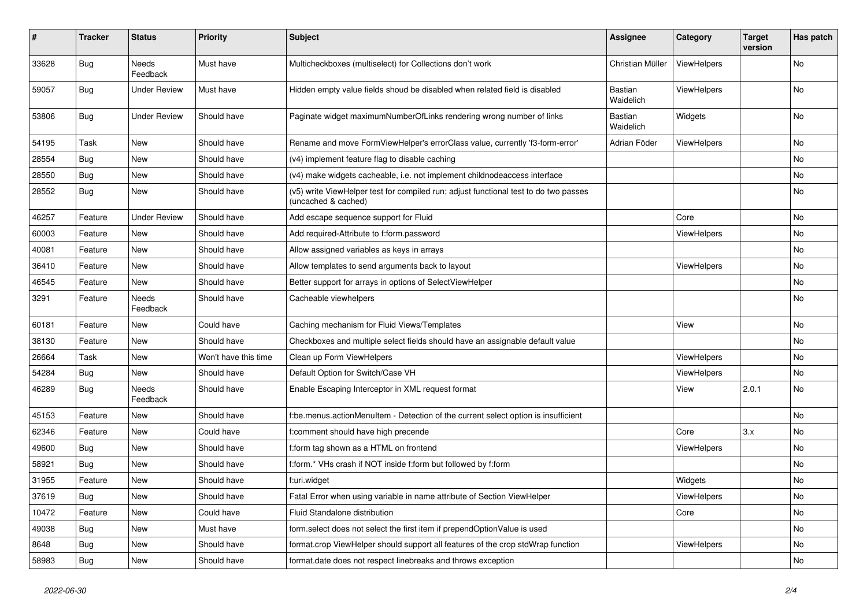| $\pmb{\#}$ | <b>Tracker</b> | <b>Status</b>       | <b>Priority</b>      | <b>Subject</b>                                                                                              | Assignee             | Category    | <b>Target</b><br>version | Has patch |
|------------|----------------|---------------------|----------------------|-------------------------------------------------------------------------------------------------------------|----------------------|-------------|--------------------------|-----------|
| 33628      | Bug            | Needs<br>Feedback   | Must have            | Multicheckboxes (multiselect) for Collections don't work                                                    | Christian Müller     | ViewHelpers |                          | No        |
| 59057      | Bug            | <b>Under Review</b> | Must have            | Hidden empty value fields shoud be disabled when related field is disabled                                  | Bastian<br>Waidelich | ViewHelpers |                          | No        |
| 53806      | Bug            | <b>Under Review</b> | Should have          | Paginate widget maximumNumberOfLinks rendering wrong number of links                                        | Bastian<br>Waidelich | Widgets     |                          | No        |
| 54195      | Task           | New                 | Should have          | Rename and move FormViewHelper's errorClass value, currently 'f3-form-error'                                | Adrian Föder         | ViewHelpers |                          | No        |
| 28554      | Bug            | New                 | Should have          | (v4) implement feature flag to disable caching                                                              |                      |             |                          | No.       |
| 28550      | Bug            | New                 | Should have          | (v4) make widgets cacheable, i.e. not implement childnodeaccess interface                                   |                      |             |                          | No        |
| 28552      | Bug            | New                 | Should have          | (v5) write ViewHelper test for compiled run; adjust functional test to do two passes<br>(uncached & cached) |                      |             |                          | No        |
| 46257      | Feature        | <b>Under Review</b> | Should have          | Add escape sequence support for Fluid                                                                       |                      | Core        |                          | No        |
| 60003      | Feature        | New                 | Should have          | Add required-Attribute to f:form.password                                                                   |                      | ViewHelpers |                          | No        |
| 40081      | Feature        | New                 | Should have          | Allow assigned variables as keys in arrays                                                                  |                      |             |                          | No.       |
| 36410      | Feature        | New                 | Should have          | Allow templates to send arguments back to layout                                                            |                      | ViewHelpers |                          | No        |
| 46545      | Feature        | New                 | Should have          | Better support for arrays in options of SelectViewHelper                                                    |                      |             |                          | No        |
| 3291       | Feature        | Needs<br>Feedback   | Should have          | Cacheable viewhelpers                                                                                       |                      |             |                          | No        |
| 60181      | Feature        | New                 | Could have           | Caching mechanism for Fluid Views/Templates                                                                 |                      | View        |                          | No        |
| 38130      | Feature        | New                 | Should have          | Checkboxes and multiple select fields should have an assignable default value                               |                      |             |                          | No        |
| 26664      | Task           | New                 | Won't have this time | Clean up Form ViewHelpers                                                                                   |                      | ViewHelpers |                          | No        |
| 54284      | Bug            | <b>New</b>          | Should have          | Default Option for Switch/Case VH                                                                           |                      | ViewHelpers |                          | No.       |
| 46289      | Bug            | Needs<br>Feedback   | Should have          | Enable Escaping Interceptor in XML request format                                                           |                      | View        | 2.0.1                    | No        |
| 45153      | Feature        | New                 | Should have          | f:be.menus.actionMenuItem - Detection of the current select option is insufficient                          |                      |             |                          | No        |
| 62346      | Feature        | New                 | Could have           | f:comment should have high precende                                                                         |                      | Core        | 3.x                      | No.       |
| 49600      | Bug            | New                 | Should have          | f:form tag shown as a HTML on frontend                                                                      |                      | ViewHelpers |                          | No        |
| 58921      | Bug            | New                 | Should have          | f:form.* VHs crash if NOT inside f:form but followed by f:form                                              |                      |             |                          | No        |
| 31955      | Feature        | New                 | Should have          | f:uri.widget                                                                                                |                      | Widgets     |                          | No        |
| 37619      | <b>Bug</b>     | New                 | Should have          | Fatal Error when using variable in name attribute of Section ViewHelper                                     |                      | ViewHelpers |                          | No        |
| 10472      | Feature        | New                 | Could have           | Fluid Standalone distribution                                                                               |                      | Core        |                          | No        |
| 49038      | Bug            | New                 | Must have            | form.select does not select the first item if prependOptionValue is used                                    |                      |             |                          | No        |
| 8648       | Bug            | New                 | Should have          | format.crop ViewHelper should support all features of the crop stdWrap function                             |                      | ViewHelpers |                          | No        |
| 58983      | Bug            | New                 | Should have          | format.date does not respect linebreaks and throws exception                                                |                      |             |                          | No        |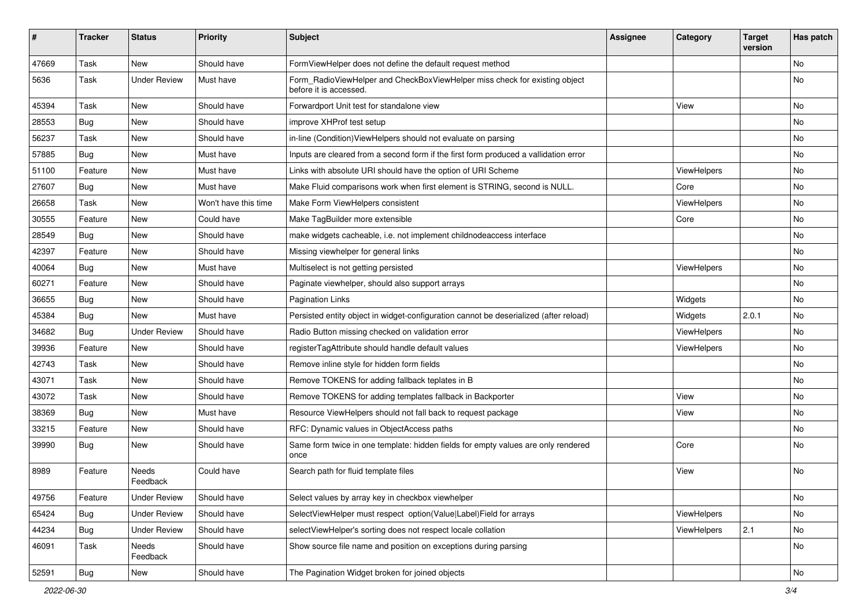| $\sharp$ | <b>Tracker</b> | <b>Status</b>       | <b>Priority</b>      | Subject                                                                                              | <b>Assignee</b> | Category    | <b>Target</b><br>version | Has patch |
|----------|----------------|---------------------|----------------------|------------------------------------------------------------------------------------------------------|-----------------|-------------|--------------------------|-----------|
| 47669    | Task           | New                 | Should have          | FormViewHelper does not define the default request method                                            |                 |             |                          | <b>No</b> |
| 5636     | Task           | <b>Under Review</b> | Must have            | Form RadioViewHelper and CheckBoxViewHelper miss check for existing object<br>before it is accessed. |                 |             |                          | No        |
| 45394    | Task           | New                 | Should have          | Forwardport Unit test for standalone view                                                            |                 | View        |                          | <b>No</b> |
| 28553    | Bug            | New                 | Should have          | improve XHProf test setup                                                                            |                 |             |                          | No        |
| 56237    | Task           | New                 | Should have          | in-line (Condition) ViewHelpers should not evaluate on parsing                                       |                 |             |                          | No        |
| 57885    | Bug            | New                 | Must have            | Inputs are cleared from a second form if the first form produced a vallidation error                 |                 |             |                          | No        |
| 51100    | Feature        | New                 | Must have            | Links with absolute URI should have the option of URI Scheme                                         |                 | ViewHelpers |                          | No        |
| 27607    | Bug            | New                 | Must have            | Make Fluid comparisons work when first element is STRING, second is NULL.                            |                 | Core        |                          | No        |
| 26658    | Task           | New                 | Won't have this time | Make Form ViewHelpers consistent                                                                     |                 | ViewHelpers |                          | No        |
| 30555    | Feature        | <b>New</b>          | Could have           | Make TagBuilder more extensible                                                                      |                 | Core        |                          | <b>No</b> |
| 28549    | Bug            | New                 | Should have          | make widgets cacheable, i.e. not implement childnodeaccess interface                                 |                 |             |                          | No        |
| 42397    | Feature        | New                 | Should have          | Missing viewhelper for general links                                                                 |                 |             |                          | No        |
| 40064    | Bug            | New                 | Must have            | Multiselect is not getting persisted                                                                 |                 | ViewHelpers |                          | No        |
| 60271    | Feature        | New                 | Should have          | Paginate viewhelper, should also support arrays                                                      |                 |             |                          | No        |
| 36655    | Bug            | New                 | Should have          | <b>Pagination Links</b>                                                                              |                 | Widgets     |                          | No        |
| 45384    | Bug            | New                 | Must have            | Persisted entity object in widget-configuration cannot be deserialized (after reload)                |                 | Widgets     | 2.0.1                    | No        |
| 34682    | Bug            | <b>Under Review</b> | Should have          | Radio Button missing checked on validation error                                                     |                 | ViewHelpers |                          | No        |
| 39936    | Feature        | New                 | Should have          | registerTagAttribute should handle default values                                                    |                 | ViewHelpers |                          | No        |
| 42743    | Task           | New                 | Should have          | Remove inline style for hidden form fields                                                           |                 |             |                          | No        |
| 43071    | Task           | New                 | Should have          | Remove TOKENS for adding fallback teplates in B                                                      |                 |             |                          | No        |
| 43072    | Task           | New                 | Should have          | Remove TOKENS for adding templates fallback in Backporter                                            |                 | View        |                          | No        |
| 38369    | Bug            | New                 | Must have            | Resource ViewHelpers should not fall back to request package                                         |                 | View        |                          | No        |
| 33215    | Feature        | New                 | Should have          | RFC: Dynamic values in ObjectAccess paths                                                            |                 |             |                          | <b>No</b> |
| 39990    | Bug            | New                 | Should have          | Same form twice in one template: hidden fields for empty values are only rendered<br>once            |                 | Core        |                          | No        |
| 8989     | Feature        | Needs<br>Feedback   | Could have           | Search path for fluid template files                                                                 |                 | View        |                          | No        |
| 49756    | Feature        | <b>Under Review</b> | Should have          | Select values by array key in checkbox viewhelper                                                    |                 |             |                          | No        |
| 65424    | <b>Bug</b>     | <b>Under Review</b> | Should have          | SelectViewHelper must respect option(Value Label)Field for arrays                                    |                 | ViewHelpers |                          | No        |
| 44234    | Bug            | <b>Under Review</b> | Should have          | selectViewHelper's sorting does not respect locale collation                                         |                 | ViewHelpers | 2.1                      | No        |
| 46091    | Task           | Needs<br>Feedback   | Should have          | Show source file name and position on exceptions during parsing                                      |                 |             |                          | No        |
| 52591    | Bug            | New                 | Should have          | The Pagination Widget broken for joined objects                                                      |                 |             |                          | No        |